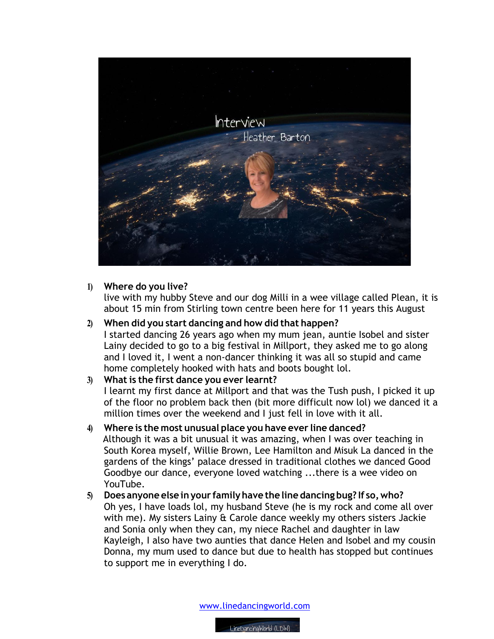

### **1) Where do you live?**

live with my hubby Steve and our dog Milli in a wee village called Plean, it is about 15 min from Stirling town centre been here for 11 years this August

## **2) When did you start dancing and how did that happen?** I started dancing 26 years ago when my mum jean, auntie Isobel and sister Lainy decided to go to a big festival in Millport, they asked me to go along and I loved it, I went a non-dancer thinking it was all so stupid and came home completely hooked with hats and boots bought lol.

## **3) What is the first dance you ever learnt?**

I learnt my first dance at Millport and that was the Tush push, I picked it up of the floor no problem back then (bit more difficult now lol) we danced it a million times over the weekend and I just fell in love with it all.

# **4) Where is the most unusual place you have ever line danced?**

 Although it was a bit unusual it was amazing, when I was over teaching in South Korea myself, Willie Brown, Lee Hamilton and Misuk La danced in the gardens of the kings' palace dressed in traditional clothes we danced Good Goodbye our dance, everyone loved watching ...there is a wee video on YouTube.

**5) Does anyone else inyour familyhave the line dancing bug? If so,who?** Oh yes, I have loads lol, my husband Steve (he is my rock and come all over with me). My sisters Lainy & Carole dance weekly my others sisters Jackie and Sonia only when they can, my niece Rachel and daughter in law Kayleigh, I also have two aunties that dance Helen and Isobel and my cousin Donna, my mum used to dance but due to health has stopped but continues to support me in everything I do.

www.linedancingworld.com

LineDancingWorld (LDW)